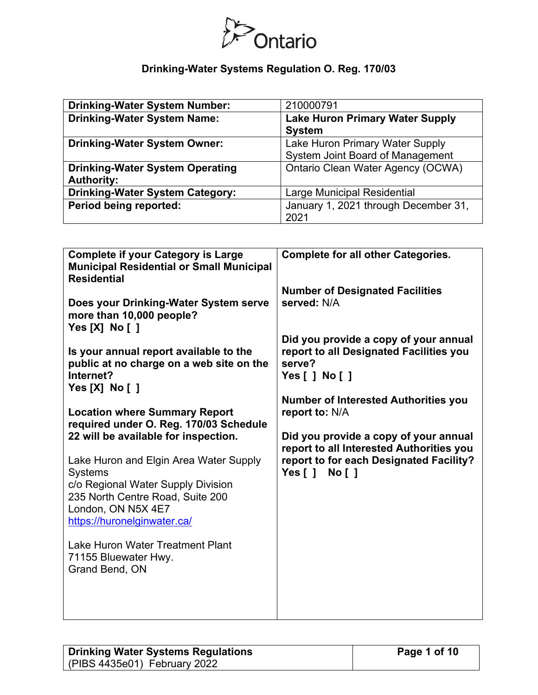

| <b>Drinking-Water System Number:</b>   | 210000791                                |
|----------------------------------------|------------------------------------------|
| <b>Drinking-Water System Name:</b>     | <b>Lake Huron Primary Water Supply</b>   |
|                                        | <b>System</b>                            |
| <b>Drinking-Water System Owner:</b>    | Lake Huron Primary Water Supply          |
|                                        | System Joint Board of Management         |
| <b>Drinking-Water System Operating</b> | <b>Ontario Clean Water Agency (OCWA)</b> |
| <b>Authority:</b>                      |                                          |
| <b>Drinking-Water System Category:</b> | <b>Large Municipal Residential</b>       |
| Period being reported:                 | January 1, 2021 through December 31,     |
|                                        | 2021                                     |

| <b>Complete if your Category is Large</b><br><b>Municipal Residential or Small Municipal</b><br><b>Residential</b><br>Does your Drinking-Water System serve<br>more than 10,000 people?<br>Yes [X] No [ ]<br>Is your annual report available to the<br>public at no charge on a web site on the<br>Internet?<br>Yes [X] No [ ]<br><b>Location where Summary Report</b><br>required under O. Reg. 170/03 Schedule<br>22 will be available for inspection.<br>Lake Huron and Elgin Area Water Supply<br><b>Systems</b><br>c/o Regional Water Supply Division<br>235 North Centre Road, Suite 200<br>London, ON N5X 4E7<br>https://huronelginwater.ca/<br>Lake Huron Water Treatment Plant | <b>Complete for all other Categories.</b><br><b>Number of Designated Facilities</b><br>served: N/A<br>Did you provide a copy of your annual<br>report to all Designated Facilities you<br>serve?<br>Yes [ ] No [ ]<br><b>Number of Interested Authorities you</b><br>report to: N/A<br>Did you provide a copy of your annual<br>report to all Interested Authorities you<br>report to for each Designated Facility?<br>Yes[]<br>No <sub>1</sub> |
|-----------------------------------------------------------------------------------------------------------------------------------------------------------------------------------------------------------------------------------------------------------------------------------------------------------------------------------------------------------------------------------------------------------------------------------------------------------------------------------------------------------------------------------------------------------------------------------------------------------------------------------------------------------------------------------------|-------------------------------------------------------------------------------------------------------------------------------------------------------------------------------------------------------------------------------------------------------------------------------------------------------------------------------------------------------------------------------------------------------------------------------------------------|
| 71155 Bluewater Hwy.<br>Grand Bend, ON                                                                                                                                                                                                                                                                                                                                                                                                                                                                                                                                                                                                                                                  |                                                                                                                                                                                                                                                                                                                                                                                                                                                 |

| <b>Drinking Water Systems Regulations</b> |  |  |
|-------------------------------------------|--|--|
| (PIBS 4435e01) February 2022              |  |  |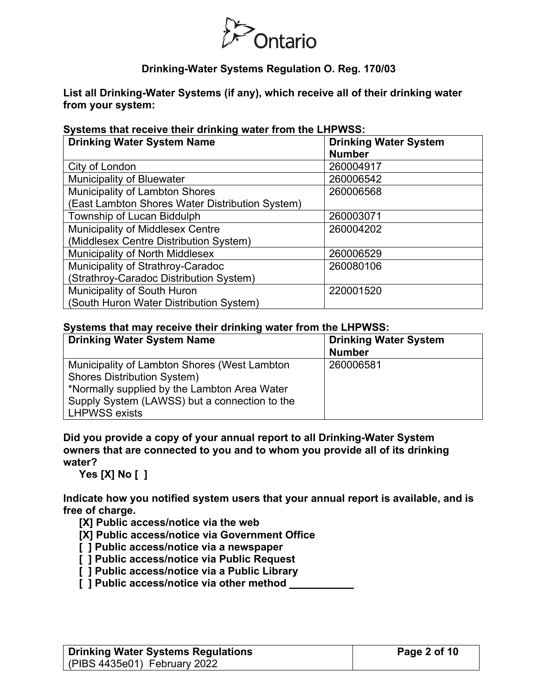

**List all Drinking-Water Systems (if any), which receive all of their drinking water from your system:**

#### **Systems that receive their drinking water from the LHPWSS:**

| <b>Drinking Water System Name</b>               | <b>Drinking Water System</b><br><b>Number</b> |
|-------------------------------------------------|-----------------------------------------------|
| City of London                                  | 260004917                                     |
| <b>Municipality of Bluewater</b>                | 260006542                                     |
| <b>Municipality of Lambton Shores</b>           | 260006568                                     |
| (East Lambton Shores Water Distribution System) |                                               |
| Township of Lucan Biddulph                      | 260003071                                     |
| Municipality of Middlesex Centre                | 260004202                                     |
| (Middlesex Centre Distribution System)          |                                               |
| <b>Municipality of North Middlesex</b>          | 260006529                                     |
| Municipality of Strathroy-Caradoc               | 260080106                                     |
| (Strathroy-Caradoc Distribution System)         |                                               |
| Municipality of South Huron                     | 220001520                                     |
| (South Huron Water Distribution System)         |                                               |

#### **Systems that may receive their drinking water from the LHPWSS:**

| <b>Drinking Water System Name</b>                                                                                                                                                                           | <b>Drinking Water System</b><br><b>Number</b> |
|-------------------------------------------------------------------------------------------------------------------------------------------------------------------------------------------------------------|-----------------------------------------------|
| Municipality of Lambton Shores (West Lambton<br><b>Shores Distribution System)</b><br>*Normally supplied by the Lambton Area Water<br>Supply System (LAWSS) but a connection to the<br><b>LHPWSS exists</b> | 260006581                                     |

**Did you provide a copy of your annual report to all Drinking-Water System owners that are connected to you and to whom you provide all of its drinking water?** 

**Yes [X] No [ ]**

**Indicate how you notified system users that your annual report is available, and is free of charge.** 

**[X] Public access/notice via the web** 

**[X] Public access/notice via Government Office**

- **[ ] Public access/notice via a newspaper**
- **[ ] Public access/notice via Public Request**
- **[ ] Public access/notice via a Public Library**
- **[ ] Public access/notice via other method \_\_\_\_\_\_\_\_\_\_\_**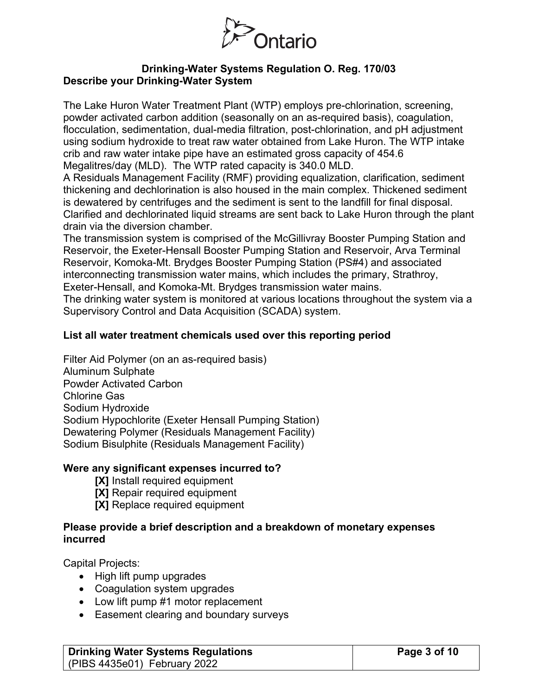

## **Drinking-Water Systems Regulation O. Reg. 170/03 Describe your Drinking-Water System**

The Lake Huron Water Treatment Plant (WTP) employs pre-chlorination, screening, powder activated carbon addition (seasonally on an as-required basis), coagulation, flocculation, sedimentation, dual-media filtration, post-chlorination, and pH adjustment using sodium hydroxide to treat raw water obtained from Lake Huron. The WTP intake crib and raw water intake pipe have an estimated gross capacity of 454.6 Megalitres/day (MLD). The WTP rated capacity is 340.0 MLD.

A Residuals Management Facility (RMF) providing equalization, clarification, sediment thickening and dechlorination is also housed in the main complex. Thickened sediment is dewatered by centrifuges and the sediment is sent to the landfill for final disposal. Clarified and dechlorinated liquid streams are sent back to Lake Huron through the plant drain via the diversion chamber.

The transmission system is comprised of the McGillivray Booster Pumping Station and Reservoir, the Exeter-Hensall Booster Pumping Station and Reservoir, Arva Terminal Reservoir, Komoka-Mt. Brydges Booster Pumping Station (PS#4) and associated interconnecting transmission water mains, which includes the primary, Strathroy, Exeter-Hensall, and Komoka-Mt. Brydges transmission water mains.

The drinking water system is monitored at various locations throughout the system via a Supervisory Control and Data Acquisition (SCADA) system.

## **List all water treatment chemicals used over this reporting period**

Filter Aid Polymer (on an as-required basis) Aluminum Sulphate Powder Activated Carbon Chlorine Gas Sodium Hydroxide Sodium Hypochlorite (Exeter Hensall Pumping Station) Dewatering Polymer (Residuals Management Facility) Sodium Bisulphite (Residuals Management Facility)

## **Were any significant expenses incurred to?**

- **[X]** Install required equipment
- **[X]** Repair required equipment
- **[X]** Replace required equipment

## **Please provide a brief description and a breakdown of monetary expenses incurred**

Capital Projects:

- High lift pump upgrades
- Coagulation system upgrades
- Low lift pump #1 motor replacement
- Easement clearing and boundary surveys

| <b>Drinking Water Systems Regulations</b> | Page 3 of 10 |
|-------------------------------------------|--------------|
| (PIBS 4435e01) February 2022              |              |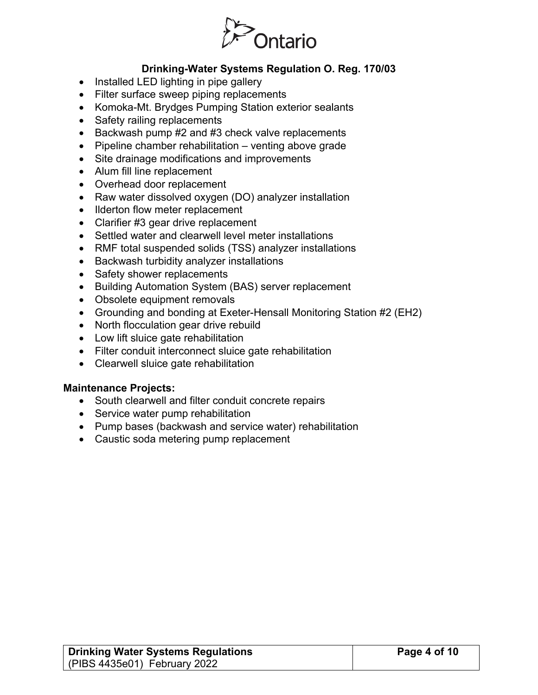

- Installed LED lighting in pipe gallery
- Filter surface sweep piping replacements
- Komoka-Mt. Brydges Pumping Station exterior sealants
- Safety railing replacements
- Backwash pump #2 and #3 check valve replacements
- Pipeline chamber rehabilitation venting above grade
- Site drainage modifications and improvements
- Alum fill line replacement
- Overhead door replacement
- Raw water dissolved oxygen (DO) analyzer installation
- Ilderton flow meter replacement
- Clarifier #3 gear drive replacement
- Settled water and clearwell level meter installations
- RMF total suspended solids (TSS) analyzer installations
- Backwash turbidity analyzer installations
- Safety shower replacements
- Building Automation System (BAS) server replacement
- Obsolete equipment removals
- Grounding and bonding at Exeter-Hensall Monitoring Station #2 (EH2)
- North flocculation gear drive rebuild
- Low lift sluice gate rehabilitation
- Filter conduit interconnect sluice gate rehabilitation
- Clearwell sluice gate rehabilitation

#### **Maintenance Projects:**

- South clearwell and filter conduit concrete repairs
- Service water pump rehabilitation
- Pump bases (backwash and service water) rehabilitation
- Caustic soda metering pump replacement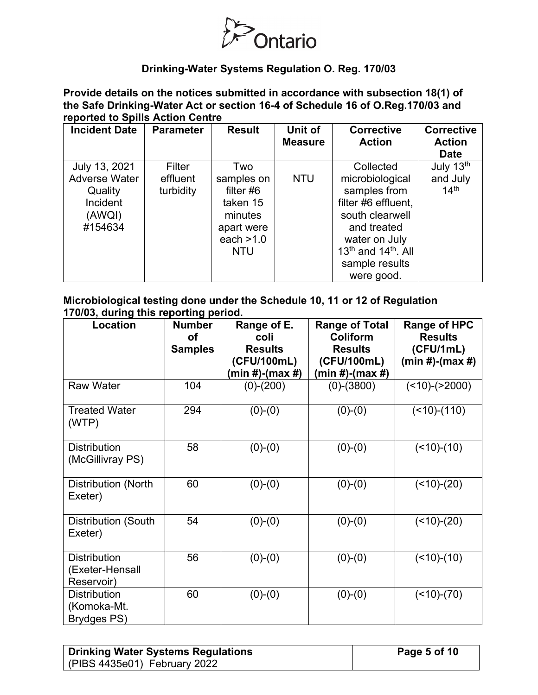

**Provide details on the notices submitted in accordance with subsection 18(1) of the Safe Drinking-Water Act or section 16-4 of Schedule 16 of O.Reg.170/03 and reported to Spills Action Centre** 

| <b>Incident Date</b>                                                                     | <b>Parameter</b>                | <b>Result</b>                                                                                      | Unit of<br><b>Measure</b> | <b>Corrective</b><br><b>Action</b>                                                                                                                                                                    | <b>Corrective</b><br><b>Action</b><br><b>Date</b> |
|------------------------------------------------------------------------------------------|---------------------------------|----------------------------------------------------------------------------------------------------|---------------------------|-------------------------------------------------------------------------------------------------------------------------------------------------------------------------------------------------------|---------------------------------------------------|
| July 13, 2021<br><b>Adverse Water</b><br>Quality<br><b>Incident</b><br>(AWQI)<br>#154634 | Filter<br>effluent<br>turbidity | Two<br>samples on<br>filter $#6$<br>taken 15<br>minutes<br>apart were<br>each $>1.0$<br><b>NTU</b> | <b>NTU</b>                | Collected<br>microbiological<br>samples from<br>filter #6 effluent,<br>south clearwell<br>and treated<br>water on July<br>13 <sup>th</sup> and 14 <sup>th</sup> , All<br>sample results<br>were good. | July 13th<br>and July<br>14 <sup>th</sup>         |

#### **Microbiological testing done under the Schedule 10, 11 or 12 of Regulation 170/03, during this reporting period.**

| Location                                             | <b>Number</b><br><b>of</b><br><b>Samples</b> | Range of E.<br>coli<br><b>Results</b><br>(CFU/100mL)<br>(min #)-(max #) | <b>Range of Total</b><br><b>Coliform</b><br><b>Results</b><br>(CFU/100mL)<br>(min #)-(max #) | <b>Range of HPC</b><br><b>Results</b><br>(CFU/1mL)<br>$(min #)-(max #)$ |
|------------------------------------------------------|----------------------------------------------|-------------------------------------------------------------------------|----------------------------------------------------------------------------------------------|-------------------------------------------------------------------------|
| <b>Raw Water</b>                                     | 104                                          | $(0)-(200)$                                                             | $(0)$ - $(3800)$                                                                             | $($ < 10) - $($ > 2000)                                                 |
| <b>Treated Water</b><br>(WTP)                        | 294                                          | $(0)-(0)$                                                               | $(0)-(0)$                                                                                    | $($ < 10) - $(110)$                                                     |
| <b>Distribution</b><br>(McGillivray PS)              | 58                                           | $(0)-(0)$                                                               | $(0)-(0)$                                                                                    | $($ < 10) - $(10)$                                                      |
| Distribution (North<br>Exeter)                       | 60                                           | $(0)-(0)$                                                               | $(0)-(0)$                                                                                    | $($ < 10) - $(20)$                                                      |
| Distribution (South<br>Exeter)                       | 54                                           | $(0)-(0)$                                                               | $(0)-(0)$                                                                                    | $($ < 10) - $(20)$                                                      |
| <b>Distribution</b><br>(Exeter-Hensall<br>Reservoir) | 56                                           | $(0)-(0)$                                                               | $(0)-(0)$                                                                                    | $($ < 10) - $(10)$                                                      |
| <b>Distribution</b><br>(Komoka-Mt.<br>Brydges PS)    | 60                                           | $(0)-(0)$                                                               | $(0)-(0)$                                                                                    | $($ < 10) - $(70)$                                                      |

| <b>Drinking Water Systems Regulations</b> |  |
|-------------------------------------------|--|
| (PIBS 4435e01) February 2022              |  |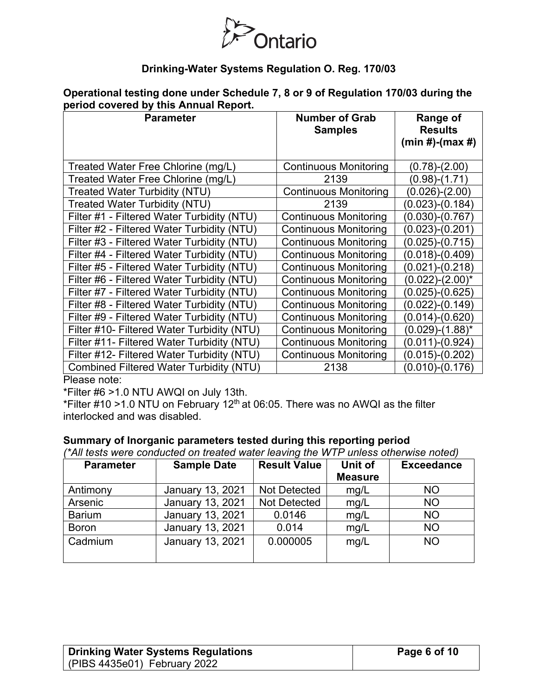

| Operational testing done under Schedule 7, 8 or 9 of Regulation 170/03 during the |  |  |
|-----------------------------------------------------------------------------------|--|--|
| period covered by this Annual Report.                                             |  |  |

| <b>Parameter</b><br><b>Number of Grab</b><br><b>Samples</b> |                              | Range of<br><b>Results</b><br>$(min #)-(max #)$ |
|-------------------------------------------------------------|------------------------------|-------------------------------------------------|
| Treated Water Free Chlorine (mg/L)                          | <b>Continuous Monitoring</b> | (0.78)-(2.00)                                   |
| Treated Water Free Chlorine (mg/L)                          | 2139                         | (0.98)-(1.71)                                   |
| <b>Treated Water Turbidity (NTU)</b>                        | <b>Continuous Monitoring</b> | $(0.026)$ - $(2.00)$                            |
| <b>Treated Water Turbidity (NTU)</b>                        | 2139                         | (0.023)-(0.184)                                 |
| Filter #1 - Filtered Water Turbidity (NTU)                  | <b>Continuous Monitoring</b> | $(0.030)-(0.767)$                               |
| Filter #2 - Filtered Water Turbidity (NTU)                  | <b>Continuous Monitoring</b> | (0.023)-(0.201)                                 |
| Filter #3 - Filtered Water Turbidity (NTU)                  | <b>Continuous Monitoring</b> | $(0.025)-(0.715)$                               |
| Filter #4 - Filtered Water Turbidity (NTU)                  | <b>Continuous Monitoring</b> | $(0.018)$ - $(0.409)$                           |
| Filter #5 - Filtered Water Turbidity (NTU)                  | <b>Continuous Monitoring</b> | (0.021)-(0.218)                                 |
| Filter #6 - Filtered Water Turbidity (NTU)                  | <b>Continuous Monitoring</b> | $(0.022)$ - $(2.00)$ <sup>*</sup>               |
| Filter #7 - Filtered Water Turbidity (NTU)                  | <b>Continuous Monitoring</b> | $(0.025)$ - $(0.625)$                           |
| Filter #8 - Filtered Water Turbidity (NTU)                  | <b>Continuous Monitoring</b> | (0.022)-(0.149)                                 |
| Filter #9 - Filtered Water Turbidity (NTU)                  | <b>Continuous Monitoring</b> | $(0.014)-(0.620)$                               |
| Filter #10- Filtered Water Turbidity (NTU)                  | <b>Continuous Monitoring</b> | (0.029)-(1.88)*                                 |
| Filter #11- Filtered Water Turbidity (NTU)                  | <b>Continuous Monitoring</b> | (0.011)-(0.924)                                 |
| Filter #12- Filtered Water Turbidity (NTU)                  | <b>Continuous Monitoring</b> | $(0.015)-(0.202)$                               |
| <b>Combined Filtered Water Turbidity (NTU)</b>              | 2138                         | (0.010)-(0.176)                                 |

Please note:

\*Filter #6 >1.0 NTU AWQI on July 13th.

\*Filter #10 >1.0 NTU on February 12<sup>th</sup> at 06:05. There was no AWQI as the filter interlocked and was disabled.

#### **Summary of Inorganic parameters tested during this reporting period**

*(\*All tests were conducted on treated water leaving the WTP unless otherwise noted)*

| <b>Parameter</b> | <b>Sample Date</b>      | <b>Result Value</b> | Unit of<br><b>Measure</b> | <b>Exceedance</b> |
|------------------|-------------------------|---------------------|---------------------------|-------------------|
| Antimony         | January 13, 2021        | <b>Not Detected</b> | mg/L                      | <b>NO</b>         |
| Arsenic          | <b>January 13, 2021</b> | <b>Not Detected</b> | mg/L                      | <b>NO</b>         |
| <b>Barium</b>    | <b>January 13, 2021</b> | 0.0146              | mg/L                      | <b>NO</b>         |
| <b>Boron</b>     | January 13, 2021        | 0.014               | mg/L                      | <b>NO</b>         |
| Cadmium          | January 13, 2021        | 0.000005            | mg/L                      | <b>NO</b>         |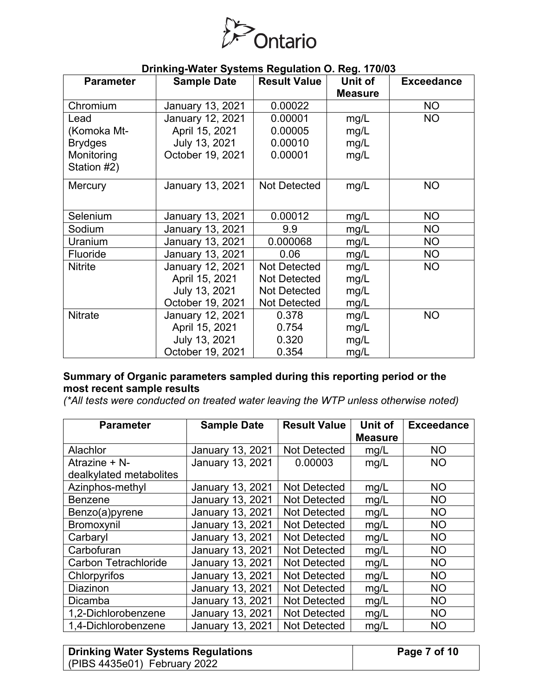

| <b>Parameter</b> | <b>Sample Date</b> | <b>Result Value</b> | Unit of        | <b>Exceedance</b> |
|------------------|--------------------|---------------------|----------------|-------------------|
|                  |                    |                     | <b>Measure</b> |                   |
| Chromium         | January 13, 2021   | 0.00022             |                | <b>NO</b>         |
| Lead             | January 12, 2021   | 0.00001             | mg/L           | <b>NO</b>         |
| (Komoka Mt-      | April 15, 2021     | 0.00005             | mg/L           |                   |
| <b>Brydges</b>   | July 13, 2021      | 0.00010             | mg/L           |                   |
| Monitoring       | October 19, 2021   | 0.00001             | mg/L           |                   |
| Station #2)      |                    |                     |                |                   |
| Mercury          | January 13, 2021   | <b>Not Detected</b> | mg/L           | <b>NO</b>         |
|                  |                    |                     |                |                   |
| Selenium         | January 13, 2021   | 0.00012             | mg/L           | <b>NO</b>         |
| Sodium           | January 13, 2021   | 9.9                 | mg/L           | NO                |
| Uranium          | January 13, 2021   | 0.000068            | mg/L           | NO                |
| Fluoride         | January 13, 2021   | 0.06                | mg/L           | <b>NO</b>         |
| <b>Nitrite</b>   | January 12, 2021   | <b>Not Detected</b> | mg/L           | <b>NO</b>         |
|                  | April 15, 2021     | <b>Not Detected</b> | mg/L           |                   |
|                  | July 13, 2021      | <b>Not Detected</b> | mg/L           |                   |
|                  | October 19, 2021   | <b>Not Detected</b> | mg/L           |                   |
| <b>Nitrate</b>   | January 12, 2021   | 0.378               | mg/L           | <b>NO</b>         |
|                  | April 15, 2021     | 0.754               | mg/L           |                   |
|                  | July 13, 2021      | 0.320               | mg/L           |                   |
|                  | October 19, 2021   | 0.354               | mg/L           |                   |

## **Summary of Organic parameters sampled during this reporting period or the most recent sample results**

*(\*All tests were conducted on treated water leaving the WTP unless otherwise noted)*

| <b>Parameter</b>            | <b>Sample Date</b>      | <b>Result Value</b> | Unit of<br><b>Measure</b> | <b>Exceedance</b> |
|-----------------------------|-------------------------|---------------------|---------------------------|-------------------|
| Alachlor                    | <b>January 13, 2021</b> | Not Detected        | mg/L                      | <b>NO</b>         |
| Atrazine + N-               | January 13, 2021        | 0.00003             | mg/L                      | <b>NO</b>         |
| dealkylated metabolites     |                         |                     |                           |                   |
| Azinphos-methyl             | <b>January 13, 2021</b> | <b>Not Detected</b> | mg/L                      | <b>NO</b>         |
| <b>Benzene</b>              | <b>January 13, 2021</b> | <b>Not Detected</b> | mg/L                      | <b>NO</b>         |
| Benzo(a)pyrene              | <b>January 13, 2021</b> | <b>Not Detected</b> | mg/L                      | <b>NO</b>         |
| Bromoxynil                  | <b>January 13, 2021</b> | Not Detected        | mg/L                      | <b>NO</b>         |
| Carbaryl                    | January 13, 2021        | Not Detected        | mg/L                      | <b>NO</b>         |
| Carbofuran                  | <b>January 13, 2021</b> | <b>Not Detected</b> | mg/L                      | <b>NO</b>         |
| <b>Carbon Tetrachloride</b> | <b>January 13, 2021</b> | <b>Not Detected</b> | mg/L                      | <b>NO</b>         |
| Chlorpyrifos                | <b>January 13, 2021</b> | <b>Not Detected</b> | mg/L                      | <b>NO</b>         |
| Diazinon                    | <b>January 13, 2021</b> | Not Detected        | mg/L                      | <b>NO</b>         |
| Dicamba                     | <b>January 13, 2021</b> | Not Detected        | mg/L                      | <b>NO</b>         |
| 1,2-Dichlorobenzene         | <b>January 13, 2021</b> | Not Detected        | mg/L                      | <b>NO</b>         |
| 1,4-Dichlorobenzene         | <b>January 13, 2021</b> | <b>Not Detected</b> | mg/L                      | <b>NO</b>         |

| <b>Drinking Water Systems Regulations</b> | Page 7 of 10 |
|-------------------------------------------|--------------|
| (PIBS 4435e01) February 2022              |              |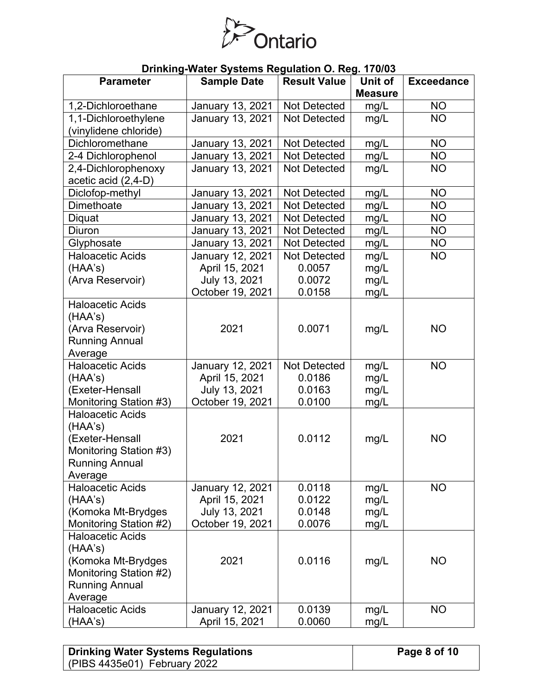

| <b>Parameter</b>                                  | <b>Sample Date</b> | <b>Result Value</b> | Unit of        | <b>Exceedance</b> |
|---------------------------------------------------|--------------------|---------------------|----------------|-------------------|
|                                                   |                    |                     | <b>Measure</b> |                   |
| 1,2-Dichloroethane                                | January 13, 2021   | <b>Not Detected</b> | mg/L           | <b>NO</b>         |
| 1,1-Dichloroethylene                              | January 13, 2021   | <b>Not Detected</b> | mg/L           | <b>NO</b>         |
| (vinylidene chloride)                             |                    |                     |                |                   |
| Dichloromethane                                   | January 13, 2021   | <b>Not Detected</b> | mg/L           | <b>NO</b>         |
| 2-4 Dichlorophenol                                | January 13, 2021   | Not Detected        | mg/L           | <b>NO</b>         |
| 2,4-Dichlorophenoxy                               | January 13, 2021   | <b>Not Detected</b> | mg/L           | <b>NO</b>         |
| acetic acid (2,4-D)                               |                    |                     |                |                   |
| Diclofop-methyl                                   | January 13, 2021   | <b>Not Detected</b> | mg/L           | <b>NO</b>         |
| Dimethoate                                        | January 13, 2021   | <b>Not Detected</b> | mg/L           | <b>NO</b>         |
| Diquat                                            | January 13, 2021   | <b>Not Detected</b> | mg/L           | <b>NO</b>         |
| Diuron                                            | January 13, 2021   | <b>Not Detected</b> | mg/L           | <b>NO</b>         |
| Glyphosate                                        | January 13, 2021   | Not Detected        | mg/L           | <b>NO</b>         |
| <b>Haloacetic Acids</b>                           | January 12, 2021   | <b>Not Detected</b> | mg/L           | <b>NO</b>         |
| (HAA's)                                           | April 15, 2021     | 0.0057              | mg/L           |                   |
| (Arva Reservoir)                                  | July 13, 2021      | 0.0072              | mg/L           |                   |
|                                                   | October 19, 2021   | 0.0158              | mg/L           |                   |
| <b>Haloacetic Acids</b>                           |                    |                     |                |                   |
| (HAA's)                                           |                    |                     |                |                   |
| (Arva Reservoir)                                  | 2021               | 0.0071              | mg/L           | <b>NO</b>         |
| <b>Running Annual</b>                             |                    |                     |                |                   |
| Average                                           |                    |                     |                |                   |
| <b>Haloacetic Acids</b>                           | January 12, 2021   | <b>Not Detected</b> | mg/L           | <b>NO</b>         |
| (HAA's)                                           | April 15, 2021     | 0.0186              | mg/L           |                   |
| (Exeter-Hensall                                   | July 13, 2021      | 0.0163              | mg/L           |                   |
| Monitoring Station #3)<br><b>Haloacetic Acids</b> | October 19, 2021   | 0.0100              | mg/L           |                   |
| (HAA's)                                           |                    |                     |                |                   |
| (Exeter-Hensall                                   | 2021               | 0.0112              | mg/L           | <b>NO</b>         |
| Monitoring Station #3)                            |                    |                     |                |                   |
| <b>Running Annual</b>                             |                    |                     |                |                   |
| Average                                           |                    |                     |                |                   |
| <b>Haloacetic Acids</b>                           | January 12, 2021   | 0.0118              | mg/L           | <b>NO</b>         |
| (HAA's)                                           | April 15, 2021     | 0.0122              | mg/L           |                   |
| (Komoka Mt-Brydges                                | July 13, 2021      | 0.0148              | mg/L           |                   |
| Monitoring Station #2)                            | October 19, 2021   | 0.0076              | mg/L           |                   |
| <b>Haloacetic Acids</b>                           |                    |                     |                |                   |
| (HAA's)                                           |                    |                     |                |                   |
| (Komoka Mt-Brydges                                | 2021               | 0.0116              | mg/L           | <b>NO</b>         |
| Monitoring Station #2)                            |                    |                     |                |                   |
| <b>Running Annual</b>                             |                    |                     |                |                   |
| Average                                           |                    |                     |                |                   |
| <b>Haloacetic Acids</b>                           | January 12, 2021   | 0.0139              | mg/L           | <b>NO</b>         |
| (HAA's)                                           | April 15, 2021     | 0.0060              | mg/L           |                   |

| <b>Drinking Water Systems Regulations</b> | Page 8 of 10 |
|-------------------------------------------|--------------|
| (PIBS 4435e01) February 2022              |              |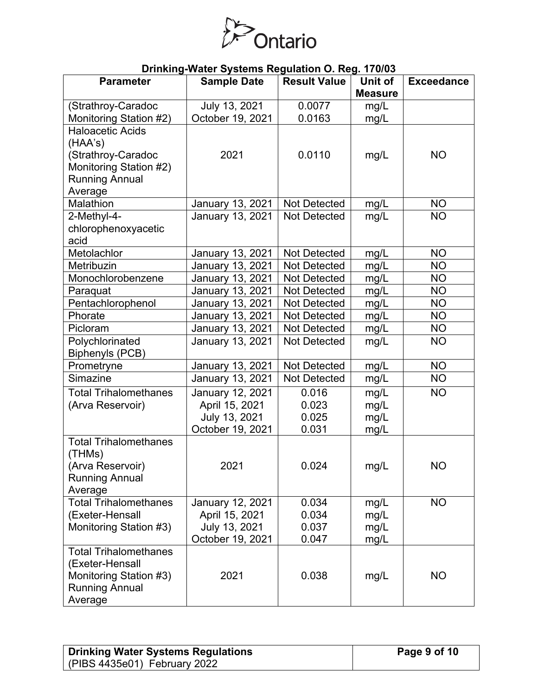

| <b>Parameter</b>                        | <b>Sample Date</b>              | ------ <i>-</i> --<br><b>Result Value</b> | Unit of        | <b>Exceedance</b> |
|-----------------------------------------|---------------------------------|-------------------------------------------|----------------|-------------------|
|                                         |                                 |                                           | <b>Measure</b> |                   |
| (Strathroy-Caradoc                      | July 13, 2021                   | 0.0077                                    | mg/L           |                   |
| Monitoring Station #2)                  | October 19, 2021                | 0.0163                                    | mg/L           |                   |
| <b>Haloacetic Acids</b>                 |                                 |                                           |                |                   |
| (HAA's)                                 |                                 |                                           |                |                   |
| (Strathroy-Caradoc                      | 2021                            | 0.0110                                    | mg/L           | <b>NO</b>         |
| Monitoring Station #2)                  |                                 |                                           |                |                   |
| <b>Running Annual</b>                   |                                 |                                           |                |                   |
| Average                                 |                                 |                                           |                |                   |
| Malathion                               | January 13, 2021                | Not Detected                              | mg/L           | <b>NO</b>         |
| 2-Methyl-4-                             | January 13, 2021                | <b>Not Detected</b>                       | mg/L           | <b>NO</b>         |
| chlorophenoxyacetic                     |                                 |                                           |                |                   |
| acid                                    |                                 |                                           |                |                   |
| Metolachlor                             | January 13, 2021                | <b>Not Detected</b>                       | mg/L           | <b>NO</b>         |
| Metribuzin                              | January 13, 2021                | Not Detected                              | mg/L           | <b>NO</b>         |
| Monochlorobenzene                       | January 13, 2021                | Not Detected                              | mg/L           | <b>NO</b>         |
| Paraquat                                | January 13, 2021                | <b>Not Detected</b>                       | mg/L           | <b>NO</b>         |
| Pentachlorophenol                       | January 13, 2021                | <b>Not Detected</b>                       | mg/L           | <b>NO</b>         |
| Phorate                                 | January 13, 2021                | <b>Not Detected</b>                       | mg/L           | <b>NO</b>         |
| Picloram                                | January 13, 2021                | <b>Not Detected</b>                       | mg/L           | <b>NO</b>         |
| Polychlorinated                         | January 13, 2021                | Not Detected                              | mg/L           | <b>NO</b>         |
| Biphenyls (PCB)                         |                                 |                                           |                |                   |
| Prometryne                              | January 13, 2021                | Not Detected                              | mg/L           | <b>NO</b>         |
| Simazine                                | January 13, 2021                | Not Detected                              | mg/L           | <b>NO</b>         |
| <b>Total Trihalomethanes</b>            | January 12, 2021                | 0.016                                     | mg/L           | <b>NO</b>         |
| (Arva Reservoir)                        | April 15, 2021                  | 0.023                                     | mg/L           |                   |
|                                         | July 13, 2021                   | 0.025                                     | mg/L           |                   |
|                                         | October 19, 2021                | 0.031                                     | mg/L           |                   |
| <b>Total Trihalomethanes</b>            |                                 |                                           |                |                   |
| (THMs)                                  |                                 |                                           |                |                   |
| (Arva Reservoir)                        | 2021                            | 0.024                                     | mg/L           | <b>NO</b>         |
| <b>Running Annual</b>                   |                                 |                                           |                |                   |
| Average<br><b>Total Trihalomethanes</b> |                                 |                                           |                |                   |
| (Exeter-Hensall                         | January 12, 2021                | 0.034                                     | mg/L           | <b>NO</b>         |
| Monitoring Station #3)                  | April 15, 2021<br>July 13, 2021 | 0.034<br>0.037                            | mg/L           |                   |
|                                         | October 19, 2021                | 0.047                                     | mg/L<br>mg/L   |                   |
| <b>Total Trihalomethanes</b>            |                                 |                                           |                |                   |
| (Exeter-Hensall                         |                                 |                                           |                |                   |
| Monitoring Station #3)                  | 2021                            | 0.038                                     | mg/L           | <b>NO</b>         |
| <b>Running Annual</b>                   |                                 |                                           |                |                   |
|                                         |                                 |                                           |                |                   |
| Average                                 |                                 |                                           |                |                   |

| <b>Drinking Water Systems Regulations</b> |  |
|-------------------------------------------|--|
| (PIBS 4435e01) February 2022              |  |